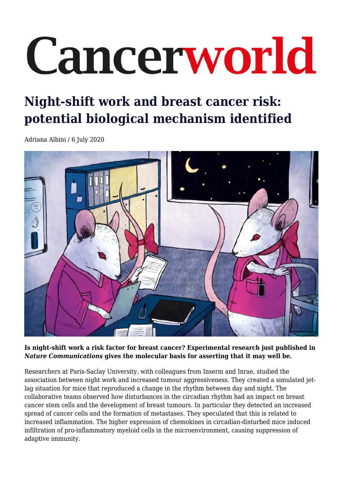## Cancerworld

## **Night-shift work and breast cancer risk: potential biological mechanism identified**

Adriana Albini / 6 July 2020



**Is night-shift work a risk factor for breast cancer? Experimental research just published in** *Nature Communications* **gives the molecular basis for asserting that it may well be.**

Researchers at Paris-Saclay University, with colleagues from Inserm and Inrae, studied the association between night work and increased tumour aggressiveness. They created a simulated jetlag situation for mice that reproduced a change in the rhythm between day and night. The collaborative teams observed how disturbances in the circadian rhythm had an impact on breast cancer stem cells and the development of breast tumours. In particular they detected an increased spread of cancer cells and the formation of metastases. They speculated that this is related to increased inflammation. The higher expression of chemokines in circadian-disturbed mice induced infiltration of pro-inflammatory myeloid cells in the microenvironment, causing suppression of adaptive immunity.